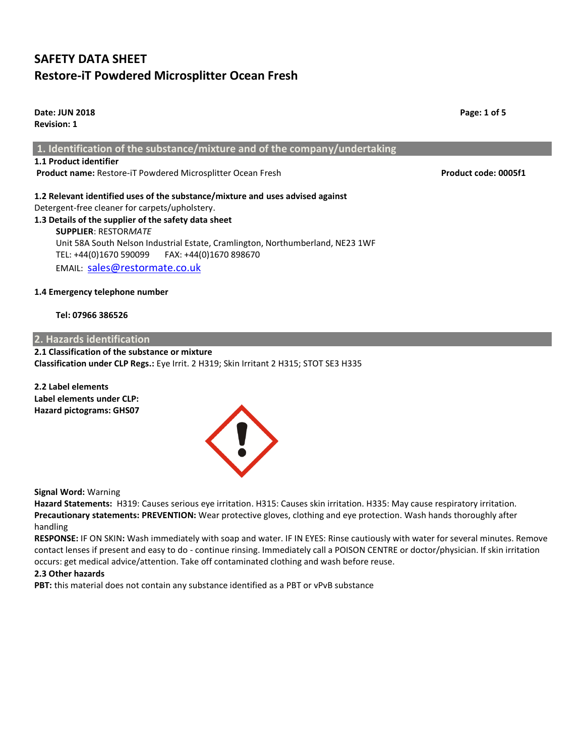**Date: JUN 2018 Page: 1 of 5 Revision: 1 1. Identification of the substance/mixture and of the company/undertaking 1.1 Product identifier Product name: Restore-iT Powdered Microsplitter Ocean Fresh <b>Product code: 0005f1 1.2 Relevant identified uses of the substance/mixture and uses advised against** Detergent-free cleaner for carpets/upholstery. **1.3 Details of the supplier of the safety data sheet SUPPLIER**: RESTOR*MATE*

 Unit 58A South Nelson Industrial Estate, Cramlington, Northumberland, NE23 1WF TEL: +44(0)1670 590099 FAX: +44(0)1670 898670 EMAIL: [sales@restormate.co.uk](mailto:sales@restormate.co.uk)

# **1.4 Emergency telephone number**

 **Tel: 07966 386526**

# **2. Hazards identification**

**2.1 Classification of the substance or mixture Classification under CLP Regs.:** Eye Irrit. 2 H319; Skin Irritant 2 H315; STOT SE3 H335

**2.2 Label elements Label elements under CLP: Hazard pictograms: GHS07**

**Signal Word:** Warning

**Hazard Statements:** H319: Causes serious eye irritation. H315: Causes skin irritation. H335: May cause respiratory irritation. **Precautionary statements: PREVENTION:** Wear protective gloves, clothing and eye protection. Wash hands thoroughly after handling

**RESPONSE:** IF ON SKIN**:** Wash immediately with soap and water. IF IN EYES: Rinse cautiously with water for several minutes. Remove contact lenses if present and easy to do - continue rinsing. Immediately call a POISON CENTRE or doctor/physician. If skin irritation occurs: get medical advice/attention. Take off contaminated clothing and wash before reuse.

### **2.3 Other hazards**

PBT: this material does not contain any substance identified as a PBT or vPvB substance

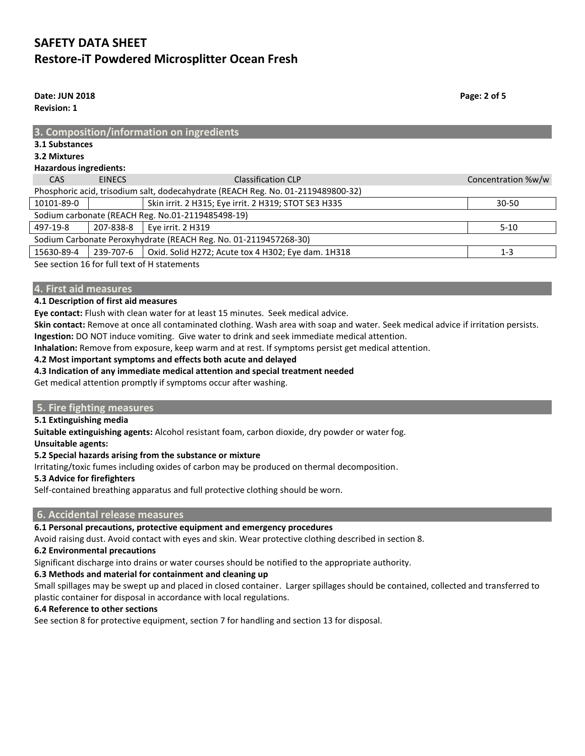**Date: JUN 2018 Page: 2 of 5 Revision: 1**

| 3. Composition/information on ingredients                                        |               |                                                      |                    |  |  |  |
|----------------------------------------------------------------------------------|---------------|------------------------------------------------------|--------------------|--|--|--|
| 3.1 Substances                                                                   |               |                                                      |                    |  |  |  |
| 3.2 Mixtures                                                                     |               |                                                      |                    |  |  |  |
| <b>Hazardous ingredients:</b>                                                    |               |                                                      |                    |  |  |  |
| <b>CAS</b>                                                                       | <b>EINECS</b> | <b>Classification CLP</b>                            | Concentration %w/w |  |  |  |
| Phosphoric acid, trisodium salt, dodecahydrate (REACH Reg. No. 01-2119489800-32) |               |                                                      |                    |  |  |  |
| 10101-89-0                                                                       |               | Skin irrit. 2 H315; Eye irrit. 2 H319; STOT SE3 H335 | $30 - 50$          |  |  |  |
| Sodium carbonate (REACH Reg. No.01-2119485498-19)                                |               |                                                      |                    |  |  |  |
| 497-19-8                                                                         | 207-838-8     | Eye irrit. 2 H319                                    | $5 - 10$           |  |  |  |
| Sodium Carbonate Peroxyhydrate (REACH Reg. No. 01-2119457268-30)                 |               |                                                      |                    |  |  |  |
| 15630-89-4                                                                       | 239-707-6     | Oxid. Solid H272; Acute tox 4 H302; Eye dam. 1H318   | $1 - 3$            |  |  |  |
| See section 16 for full text of H statements                                     |               |                                                      |                    |  |  |  |

See section 16 for full text of H statemer

#### **4. First aid measures**

#### **4.1 Description of first aid measures**

**Eye contact:** Flush with clean water for at least 15 minutes. Seek medical advice.

**Skin contact:** Remove at once all contaminated clothing. Wash area with soap and water. Seek medical advice if irritation persists. **Ingestion:** DO NOT induce vomiting. Give water to drink and seek immediate medical attention.

**Inhalation:** Remove from exposure, keep warm and at rest. If symptoms persist get medical attention.

#### **4.2 Most important symptoms and effects both acute and delayed**

#### **4.3 Indication of any immediate medical attention and special treatment needed**

Get medical attention promptly if symptoms occur after washing.

#### **5. Fire fighting measures**

#### **5.1 Extinguishing media**

**Suitable extinguishing agents:** Alcohol resistant foam, carbon dioxide, dry powder or water fog.

**Unsuitable agents:**

#### **5.2 Special hazards arising from the substance or mixture**

Irritating/toxic fumes including oxides of carbon may be produced on thermal decomposition.

#### **5.3 Advice for firefighters**

Self-contained breathing apparatus and full protective clothing should be worn.

## **6. Accidental release measures**

# **6.1 Personal precautions, protective equipment and emergency procedures**

Avoid raising dust. Avoid contact with eyes and skin. Wear protective clothing described in section 8.

# **6.2 Environmental precautions**

Significant discharge into drains or water courses should be notified to the appropriate authority.

# **6.3 Methods and material for containment and cleaning up**

Small spillages may be swept up and placed in closed container. Larger spillages should be contained, collected and transferred to plastic container for disposal in accordance with local regulations.

# **6.4 Reference to other sections**

See section 8 for protective equipment, section 7 for handling and section 13 for disposal.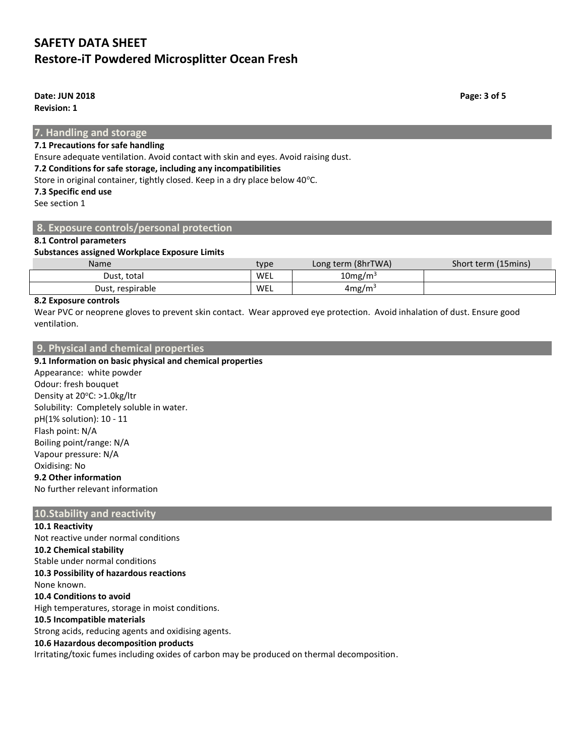**Date: JUN 2018 Page: 3 of 5**

**Revision: 1**

**7. Handling and storage**

## **7.1 Precautions for safe handling**

Ensure adequate ventilation. Avoid contact with skin and eyes. Avoid raising dust.

#### **7.2 Conditions for safe storage, including any incompatibilities**

Store in original container, tightly closed. Keep in a dry place below 40°C.

**7.3 Specific end use**

See section 1

### **8. Exposure controls/personal protection**

#### **8.1 Control parameters**

#### **Substances assigned Workplace Exposure Limits**

| <b>Name</b>      | type | Long term (8hrTWA)     | Short term (15mins) |
|------------------|------|------------------------|---------------------|
| Dust. total      | WEL  | $10$ mg/m <sup>3</sup> |                     |
| Dust, respirable | WEL  | 4mg/m <sup>3</sup>     |                     |

### **8.2 Exposure controls**

Wear PVC or neoprene gloves to prevent skin contact. Wear approved eye protection. Avoid inhalation of dust. Ensure good ventilation.

## **9. Physical and chemical properties**

## **9.1 Information on basic physical and chemical properties**

Appearance: white powder Odour: fresh bouquet Density at 20°C: >1.0kg/ltr Solubility: Completely soluble in water. pH(1% solution): 10 - 11 Flash point: N/A Boiling point/range: N/A Vapour pressure: N/A Oxidising: No **9.2 Other information** No further relevant information

## **10.Stability and reactivity**

**10.1 Reactivity** Not reactive under normal conditions **10.2 Chemical stability** Stable under normal conditions **10.3 Possibility of hazardous reactions** None known. **10.4 Conditions to avoid** High temperatures, storage in moist conditions. **10.5 Incompatible materials** Strong acids, reducing agents and oxidising agents. **10.6 Hazardous decomposition products**

Irritating/toxic fumes including oxides of carbon may be produced on thermal decomposition.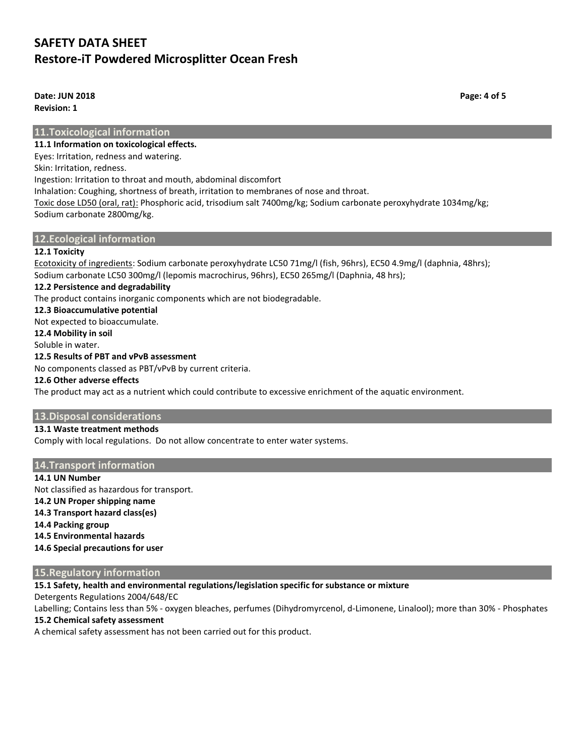**Date: JUN 2018 Page: 4 of 5 Revision: 1**

**11.Toxicological information**

**11.1 Information on toxicological effects.**

Eyes: Irritation, redness and watering.

Skin: Irritation, redness.

Ingestion: Irritation to throat and mouth, abdominal discomfort

Inhalation: Coughing, shortness of breath, irritation to membranes of nose and throat.

Toxic dose LD50 (oral, rat): Phosphoric acid, trisodium salt 7400mg/kg; Sodium carbonate peroxyhydrate 1034mg/kg; Sodium carbonate 2800mg/kg.

## **12.Ecological information**

## **12.1 Toxicity**

Ecotoxicity of ingredients: Sodium carbonate peroxyhydrate LC50 71mg/l (fish, 96hrs), EC50 4.9mg/l (daphnia, 48hrs); Sodium carbonate LC50 300mg/l (lepomis macrochirus, 96hrs), EC50 265mg/l (Daphnia, 48 hrs);

### **12.2 Persistence and degradability**

The product contains inorganic components which are not biodegradable.

**12.3 Bioaccumulative potential**

Not expected to bioaccumulate.

**12.4 Mobility in soil**

## Soluble in water.

# **12.5 Results of PBT and vPvB assessment**

No components classed as PBT/vPvB by current criteria.

#### **12.6 Other adverse effects**

The product may act as a nutrient which could contribute to excessive enrichment of the aquatic environment.

### **13.Disposal considerations**

### **13.1 Waste treatment methods**

Comply with local regulations. Do not allow concentrate to enter water systems.

### **14.Transport information**

**14.1 UN Number** Not classified as hazardous for transport. **14.2 UN Proper shipping name 14.3 Transport hazard class(es) 14.4 Packing group 14.5 Environmental hazards 14.6 Special precautions for user**

## **15.Regulatory information**

**15.1 Safety, health and environmental regulations/legislation specific for substance or mixture**

Detergents Regulations 2004/648/EC

Labelling; Contains less than 5% - oxygen bleaches, perfumes (Dihydromyrcenol, d-Limonene, Linalool); more than 30% - Phosphates

### **15.2 Chemical safety assessment**

A chemical safety assessment has not been carried out for this product.